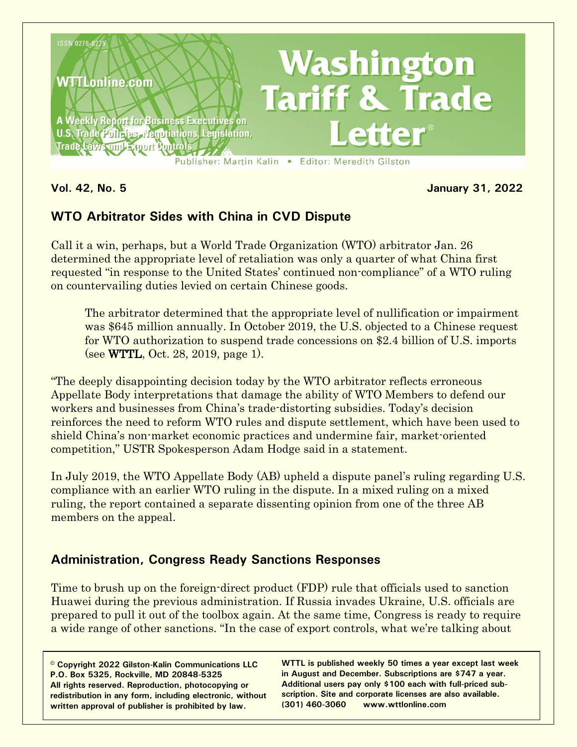

**Vol. 42, No. 5 January 31, 2022**

# **WTO Arbitrator Sides with China in CVD Dispute**

Call it a win, perhaps, but a World Trade Organization (WTO) arbitrator Jan. 26 determined the appropriate level of retaliation was only a quarter of what China first requested "in response to the United States' continued non-compliance" of a WTO ruling on countervailing duties levied on certain Chinese goods.

The arbitrator determined that the appropriate level of nullification or impairment was \$645 million annually. In October 2019, the U.S. objected to a Chinese request for WTO authorization to suspend trade concessions on \$2.4 billion of U.S. imports (see WTTL, Oct. 28, 2019, page 1).

"The deeply disappointing decision today by the WTO arbitrator reflects erroneous Appellate Body interpretations that damage the ability of WTO Members to defend our workers and businesses from China's trade-distorting subsidies. Today's decision reinforces the need to reform WTO rules and dispute settlement, which have been used to shield China's non-market economic practices and undermine fair, market-oriented competition," USTR Spokesperson Adam Hodge said in a statement.

In July 2019, the WTO Appellate Body (AB) upheld a dispute panel's ruling regarding U.S. compliance with an earlier WTO ruling in the dispute. In a mixed ruling on a mixed ruling, the report contained a separate dissenting opinion from one of the three AB members on the appeal.

# **Administration, Congress Ready Sanctions Responses**

Time to brush up on the foreign-direct product (FDP) rule that officials used to sanction Huawei during the previous administration. If Russia invades Ukraine, U.S. officials are prepared to pull it out of the toolbox again. At the same time, Congress is ready to require a wide range of other sanctions. "In the case of export controls, what we're talking about

**© Copyright 2022 Gilston-Kalin Communications LLC P.O. Box 5325, Rockville, MD 20848-5325 All rights reserved. Reproduction, photocopying or redistribution in any form, including electronic, without written approval of publisher is prohibited by law.**

**WTTL is published weekly 50 times a year except last week in August and December. Subscriptions are \$747 a year. Additional users pay only \$100 each with full-priced subscription. Site and corporate licenses are also available. (301) 460-3060 www.wttlonline.com**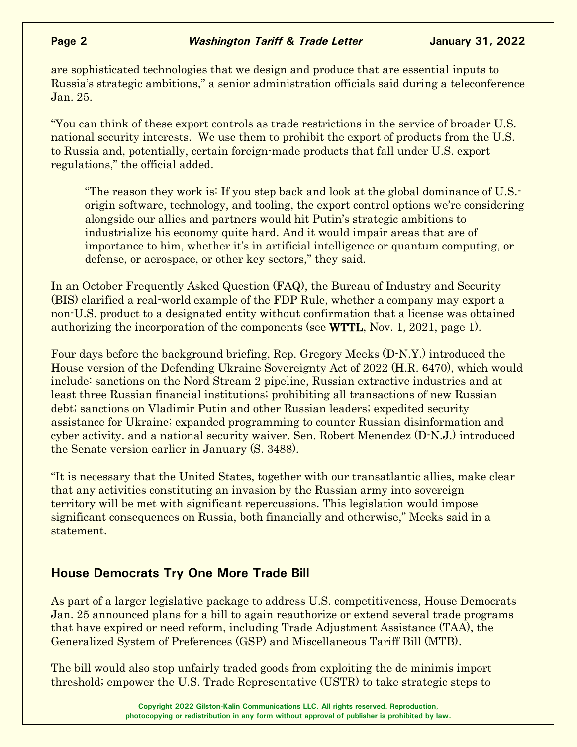are sophisticated technologies that we design and produce that are essential inputs to Russia's strategic ambitions," a senior administration officials said during a teleconference Jan. 25.

"You can think of these export controls as trade restrictions in the service of broader U.S. national security interests. We use them to prohibit the export of products from the U.S. to Russia and, potentially, certain foreign-made products that fall under U.S. export regulations," the official added.

"The reason they work is: If you step back and look at the global dominance of U.S. origin software, technology, and tooling, the export control options we're considering alongside our allies and partners would hit Putin's strategic ambitions to industrialize his economy quite hard. And it would impair areas that are of importance to him, whether it's in artificial intelligence or quantum computing, or defense, or aerospace, or other key sectors," they said.

In an October Frequently Asked Question (FAQ), the Bureau of Industry and Security (BIS) clarified a real-world example of the FDP Rule, whether a company may export a non-U.S. product to a designated entity without confirmation that a license was obtained authorizing the incorporation of the components (see WTTL, Nov. 1, 2021, page 1).

Four days before the background briefing, Rep. Gregory Meeks (D-N.Y.) introduced the House version of the Defending Ukraine Sovereignty Act of 2022 (H.R. 6470), which would include: sanctions on the Nord Stream 2 pipeline, Russian extractive industries and at least three Russian financial institutions; prohibiting all transactions of new Russian debt; sanctions on Vladimir Putin and other Russian leaders; expedited security assistance for Ukraine; expanded programming to counter Russian disinformation and cyber activity. and a national security waiver. Sen. Robert Menendez (D-N.J.) introduced the Senate version earlier in January (S. 3488).

"It is necessary that the United States, together with our transatlantic allies, make clear that any activities constituting an invasion by the Russian army into sovereign territory will be met with significant repercussions. This legislation would impose significant consequences on Russia, both financially and otherwise," Meeks said in a statement.

### **House Democrats Try One More Trade Bill**

As part of a larger legislative package to address U.S. competitiveness, House Democrats Jan. 25 announced plans for a bill to again reauthorize or extend several trade programs that have expired or need reform, including Trade Adjustment Assistance (TAA), the Generalized System of Preferences (GSP) and Miscellaneous Tariff Bill (MTB).

The bill would also stop unfairly traded goods from exploiting the de minimis import threshold; empower the U.S. Trade Representative (USTR) to take strategic steps to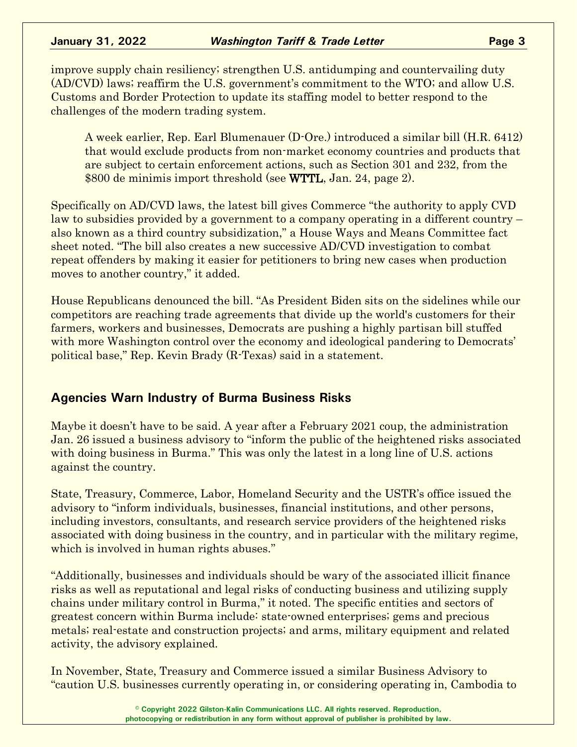improve supply chain resiliency; strengthen U.S. antidumping and countervailing duty (AD/CVD) laws; reaffirm the U.S. government's commitment to the WTO; and allow U.S. Customs and Border Protection to update its staffing model to better respond to the challenges of the modern trading system.

A week earlier, Rep. Earl Blumenauer (D-Ore.) introduced a similar bill (H.R. 6412) that would exclude products from non-market economy countries and products that are subject to certain enforcement actions, such as Section 301 and 232, from the \$800 de minimis import threshold (see **WTTL**, Jan. 24, page 2).

Specifically on AD/CVD laws, the latest bill gives Commerce "the authority to apply CVD law to subsidies provided by a government to a company operating in a different country – also known as a third country subsidization," a House Ways and Means Committee fact sheet noted. "The bill also creates a new successive AD/CVD investigation to combat repeat offenders by making it easier for petitioners to bring new cases when production moves to another country," it added.

House Republicans denounced the bill. "As President Biden sits on the sidelines while our competitors are reaching trade agreements that divide up the world's customers for their farmers, workers and businesses, Democrats are pushing a highly partisan bill stuffed with more Washington control over the economy and ideological pandering to Democrats' political base," Rep. Kevin Brady (R-Texas) said in a statement.

### **Agencies Warn Industry of Burma Business Risks**

Maybe it doesn't have to be said. A year after a February 2021 coup, the administration Jan. 26 issued a business advisory to "inform the public of the heightened risks associated with doing business in Burma." This was only the latest in a long line of U.S. actions against the country.

State, Treasury, Commerce, Labor, Homeland Security and the USTR's office issued the advisory to "inform individuals, businesses, financial institutions, and other persons, including investors, consultants, and research service providers of the heightened risks associated with doing business in the country, and in particular with the military regime, which is involved in human rights abuses."

"Additionally, businesses and individuals should be wary of the associated illicit finance risks as well as reputational and legal risks of conducting business and utilizing supply chains under military control in Burma," it noted. The specific entities and sectors of greatest concern within Burma include: state-owned enterprises; gems and precious metals; real-estate and construction projects; and arms, military equipment and related activity, the advisory explained.

In November, State, Treasury and Commerce issued a similar Business Advisory to "caution U.S. businesses currently operating in, or considering operating in, Cambodia to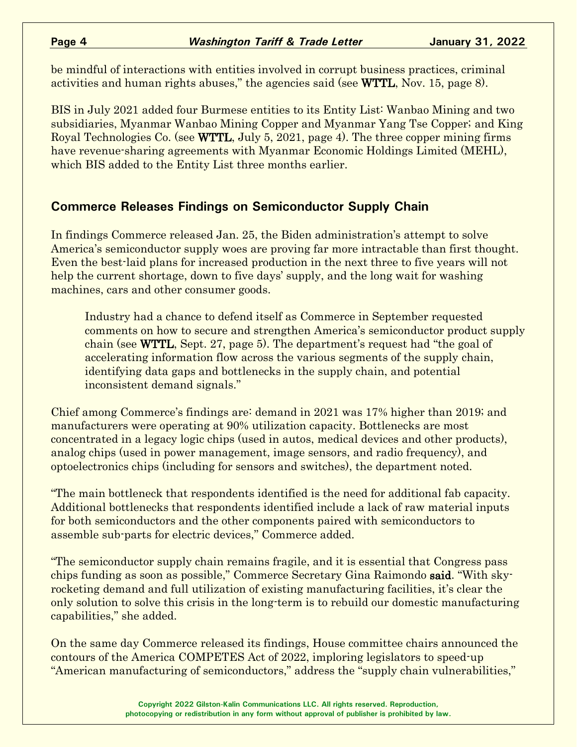be mindful of interactions with entities involved in corrupt business practices, criminal activities and human rights abuses," the agencies said (see WTTL, Nov. 15, page 8).

BIS in July 2021 added four Burmese entities to its Entity List: Wanbao Mining and two subsidiaries, Myanmar Wanbao Mining Copper and Myanmar Yang Tse Copper; and King Royal Technologies Co. (see WTTL, July 5, 2021, page 4). The three copper mining firms have revenue-sharing agreements with Myanmar Economic Holdings Limited (MEHL), which BIS added to the Entity List three months earlier.

### **Commerce Releases Findings on Semiconductor Supply Chain**

In findings Commerce released Jan. 25, the Biden administration's attempt to solve America's semiconductor supply woes are proving far more intractable than first thought. Even the best-laid plans for increased production in the next three to five years will not help the current shortage, down to five days' supply, and the long wait for washing machines, cars and other consumer goods.

Industry had a chance to defend itself as Commerce in September requested comments on how to secure and strengthen America's semiconductor product supply chain (see WTTL, Sept. 27, page 5). The department's request had "the goal of accelerating information flow across the various segments of the supply chain, identifying data gaps and bottlenecks in the supply chain, and potential inconsistent demand signals."

Chief among Commerce's findings are: demand in 2021 was 17% higher than 2019; and manufacturers were operating at 90% utilization capacity. Bottlenecks are most concentrated in a legacy logic chips (used in autos, medical devices and other products), analog chips (used in power management, image sensors, and radio frequency), and optoelectronics chips (including for sensors and switches), the department noted.

"The main bottleneck that respondents identified is the need for additional fab capacity. Additional bottlenecks that respondents identified include a lack of raw material inputs for both semiconductors and the other components paired with semiconductors to assemble sub-parts for electric devices," Commerce added.

"The semiconductor supply chain remains fragile, and it is essential that Congress pass chips funding as soon as possible," Commerce Secretary Gina Raimondo said. "With skyrocketing demand and full utilization of existing manufacturing facilities, it's clear the only solution to solve this crisis in the long-term is to rebuild our domestic manufacturing capabilities," she added.

On the same day Commerce released its findings, House committee chairs announced the contours of the America COMPETES Act of 2022, imploring legislators to speed-up "American manufacturing of semiconductors," address the "supply chain vulnerabilities,"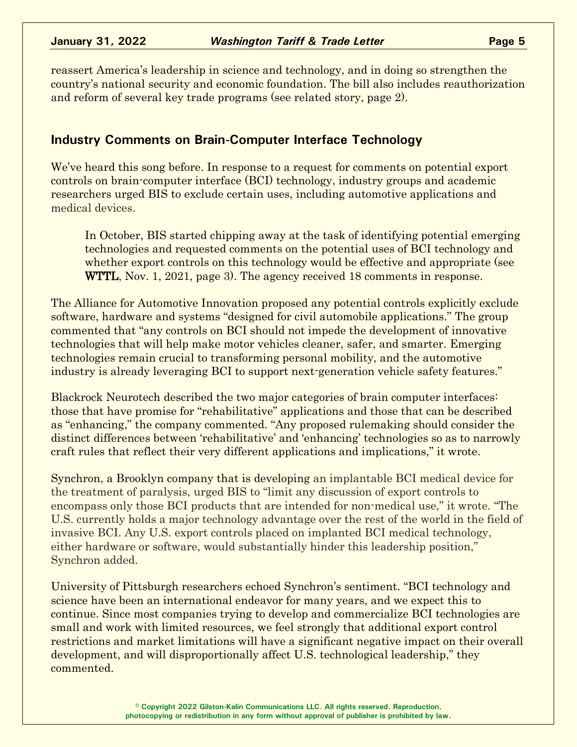reassert America's leadership in science and technology, and in doing so strengthen the country's national security and economic foundation. The bill also includes reauthorization and reform of several key trade programs (see related story, page 2).

### **Industry Comments on Brain-Computer Interface Technology**

We've heard this song before. In response to a request for comments on potential export controls on brain-computer interface (BCI) technology, industry groups and academic researchers urged BIS to exclude certain uses, including automotive applications and medical devices.

In October, BIS started chipping away at the task of identifying potential emerging technologies and requested comments on the potential uses of BCI technology and whether export controls on this technology would be effective and appropriate (see WTTL, Nov. 1, 2021, page 3). The agency received 18 comments in response.

The Alliance for Automotive Innovation proposed any potential controls explicitly exclude software, hardware and systems "designed for civil automobile applications." The group commented that "any controls on BCI should not impede the development of innovative technologies that will help make motor vehicles cleaner, safer, and smarter. Emerging technologies remain crucial to transforming personal mobility, and the automotive industry is already leveraging BCI to support next-generation vehicle safety features."

Blackrock Neurotech described the two major categories of brain computer interfaces: those that have promise for "rehabilitative" applications and those that can be described as "enhancing," the company commented. "Any proposed rulemaking should consider the distinct differences between 'rehabilitative' and 'enhancing' technologies so as to narrowly craft rules that reflect their very different applications and implications," it wrote.

Synchron, a Brooklyn company that is developing an implantable BCI medical device for the treatment of paralysis, urged BIS to "limit any discussion of export controls to encompass only those BCI products that are intended for non-medical use," it wrote. "The U.S. currently holds a major technology advantage over the rest of the world in the field of invasive BCI. Any U.S. export controls placed on implanted BCI medical technology, either hardware or software, would substantially hinder this leadership position," Synchron added.

University of Pittsburgh researchers echoed Synchron's sentiment. "BCI technology and science have been an international endeavor for many years, and we expect this to continue. Since most companies trying to develop and commercialize BCI technologies are small and work with limited resources, we feel strongly that additional export control restrictions and market limitations will have a significant negative impact on their overall development, and will disproportionally affect U.S. technological leadership," they commented.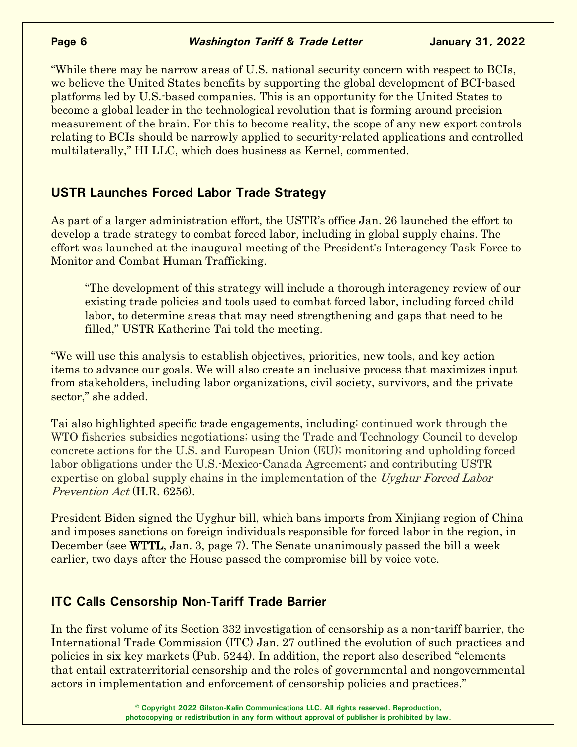"While there may be narrow areas of U.S. national security concern with respect to BCIs, we believe the United States benefits by supporting the global development of BCI-based platforms led by U.S.-based companies. This is an opportunity for the United States to become a global leader in the technological revolution that is forming around precision measurement of the brain. For this to become reality, the scope of any new export controls relating to BCIs should be narrowly applied to security-related applications and controlled multilaterally," HI LLC, which does business as Kernel, commented.

## **USTR Launches Forced Labor Trade Strategy**

As part of a larger administration effort, the USTR's office Jan. 26 launched the effort to develop a trade strategy to combat forced labor, including in global supply chains. The effort was launched at the inaugural meeting of the President's Interagency Task Force to Monitor and Combat Human Trafficking.

"The development of this strategy will include a thorough interagency review of our existing trade policies and tools used to combat forced labor, including forced child labor, to determine areas that may need strengthening and gaps that need to be filled," USTR Katherine Tai told the meeting.

"We will use this analysis to establish objectives, priorities, new tools, and key action items to advance our goals. We will also create an inclusive process that maximizes input from stakeholders, including labor organizations, civil society, survivors, and the private sector," she added.

Tai also highlighted specific trade engagements, including: continued work through the WTO fisheries subsidies negotiations; using the Trade and Technology Council to develop concrete actions for the U.S. and European Union (EU); monitoring and upholding forced labor obligations under the U.S.-Mexico-Canada Agreement; and contributing USTR expertise on global supply chains in the implementation of the Uyghur Forced Labor Prevention Act (H.R. 6256).

President Biden signed the Uyghur bill, which bans imports from Xinjiang region of China and imposes sanctions on foreign individuals responsible for forced labor in the region, in December (see WTTL, Jan. 3, page 7). The Senate unanimously passed the bill a week earlier, two days after the House passed the compromise bill by voice vote.

## **ITC Calls Censorship Non-Tariff Trade Barrier**

In the first volume of its Section 332 investigation of censorship as a non-tariff barrier, the International Trade Commission (ITC) Jan. 27 outlined the evolution of such practices and policies in six key markets (Pub. 5244). In addition, the report also described "elements that entail extraterritorial censorship and the roles of governmental and nongovernmental actors in implementation and enforcement of censorship policies and practices."